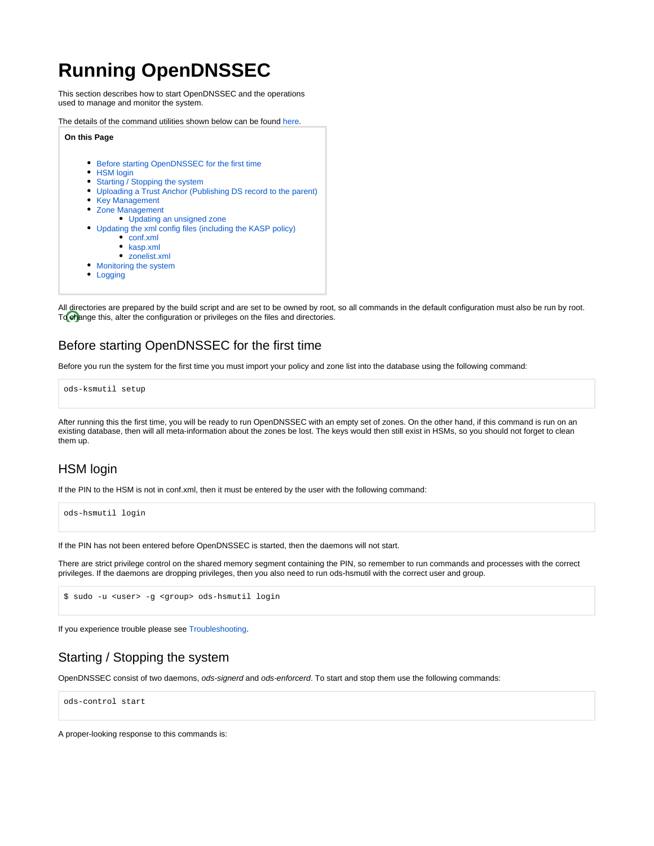# **Running OpenDNSSEC**

This section describes how to start OpenDNSSEC and the operations used to manage and monitor the system.

The details of the command utilities shown below can be found [here](https://wiki.opendnssec.org/display/DOCS/Command+Utilities).



All directories are prepared by the build script and are set to be owned by root, so all commands in the default configuration must also be run by root. To change this, alter the configuration or privileges on the files and directories.

# <span id="page-0-0"></span>Before starting OpenDNSSEC for the first time

Before you run the system for the first time you must import your policy and zone list into the database using the following command:

ods-ksmutil setup

After running this the first time, you will be ready to run OpenDNSSEC with an empty set of zones. On the other hand, if this command is run on an existing database, then will all meta-information about the zones be lost. The keys would then still exist in HSMs, so you should not forget to clean them up.

### <span id="page-0-1"></span>HSM login

If the PIN to the HSM is not in conf.xml, then it must be entered by the user with the following command:

ods-hsmutil login

If the PIN has not been entered before OpenDNSSEC is started, then the daemons will not start.

There are strict privilege control on the shared memory segment containing the PIN, so remember to run commands and processes with the correct privileges. If the daemons are dropping privileges, then you also need to run ods-hsmutil with the correct user and group.

```
$ sudo -u <user> -g <group> ods-hsmutil login
```
If you experience trouble please see [Troubleshooting.](https://wiki.opendnssec.org/display/DOCS/Troubleshooting)

### <span id="page-0-2"></span>Starting / Stopping the system

OpenDNSSEC consist of two daemons, ods-signerd and ods-enforcerd. To start and stop them use the following commands:

ods-control start

A proper-looking response to this commands is: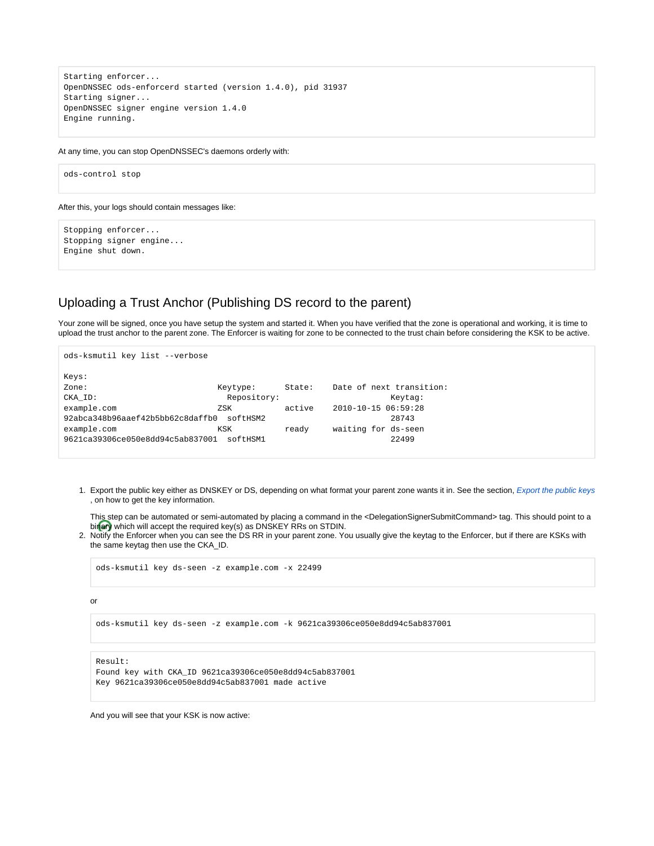Starting enforcer... OpenDNSSEC ods-enforcerd started (version 1.4.0), pid 31937 Starting signer... OpenDNSSEC signer engine version 1.4.0 Engine running.

At any time, you can stop OpenDNSSEC's daemons orderly with:

ods-control stop

After this, your logs should contain messages like:

Stopping enforcer... Stopping signer engine... Engine shut down.

### <span id="page-1-0"></span>Uploading a Trust Anchor (Publishing DS record to the parent)

Your zone will be signed, once you have setup the system and started it. When you have verified that the zone is operational and working, it is time to upload the trust anchor to the parent zone. The Enforcer is waiting for zone to be connected to the trust chain before considering the KSK to be active.

```
ods-ksmutil key list --verbose
Keys:
Zone: Keytype: State: Date of next transition: 
CKA_ID: Repository: Keytag:
example.com ZSK active 2010-10-15 06:59:28 
92abca348b96aaef42b5bb62c8daffb0 softHSM2 28743
example.com KSK ready waiting for ds-seen
9621ca39306ce050e8dd94c5ab837001 softHSM1 22499
```
1. Export the public key either as DNSKEY or DS, depending on what format your parent zone wants it in. See the section, [Export the public keys](https://wiki.opendnssec.org/display/DOCS/Key+Management) , on how to get the key information.

This step can be automated or semi-automated by placing a command in the <DelegationSignerSubmitCommand> tag. This should point to a binary which will accept the required key(s) as DNSKEY RRs on STDIN.

2. Notify the Enforcer when you can see the DS RR in your parent zone. You usually give the keytag to the Enforcer, but if there are KSKs with the same keytag then use the CKA\_ID.

ods-ksmutil key ds-seen -z example.com -x 22499

or

ods-ksmutil key ds-seen -z example.com -k 9621ca39306ce050e8dd94c5ab837001

Result: Found key with CKA\_ID 9621ca39306ce050e8dd94c5ab837001 Key 9621ca39306ce050e8dd94c5ab837001 made active

And you will see that your KSK is now active: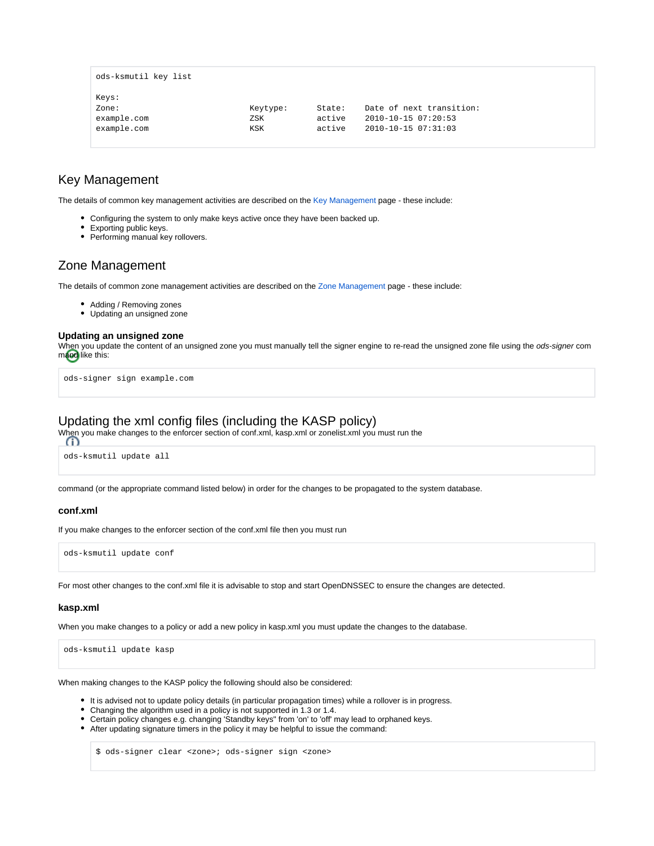```
ods-ksmutil key list
Keys:
Zone: Keytype: State: Date of next transition:
example.com ZSK active 2010-10-15 07:20:53
example.com KSK active 2010-10-15 07:31:03
```
### <span id="page-2-0"></span>Key Management

The details of common key management activities are described on the [Key Management](https://wiki.opendnssec.org/display/DOCS/Key+Management) page - these include:

- Configuring the system to only make keys active once they have been backed up.
- Exporting public keys.
- Performing manual key rollovers.

### <span id="page-2-1"></span>Zone Management

The details of common zone management activities are described on the [Zone Management](https://wiki.opendnssec.org/display/DOCS/Zone+Management) page - these include:

- Adding / Removing zones
- Updating an unsigned zone

#### <span id="page-2-2"></span>**Updating an unsigned zone**

When you update the content of an unsigned zone you must manually tell the signer engine to re-read the unsigned zone file using the ods-signer com mand like this:

ods-signer sign example.com

### <span id="page-2-3"></span>Updating the xml config files (including the KASP policy)

When you make changes to the enforcer section of conf.xml, kasp.xml or zonelist.xml you must run the

ods-ksmutil update all

command (or the appropriate command listed below) in order for the changes to be propagated to the system database.

#### <span id="page-2-4"></span>**conf.xml**

If you make changes to the enforcer section of the conf.xml file then you must run

ods-ksmutil update conf

For most other changes to the conf.xml file it is advisable to stop and start OpenDNSSEC to ensure the changes are detected.

#### <span id="page-2-5"></span>**kasp.xml**

When you make changes to a policy or add a new policy in kasp.xml you must update the changes to the database.

ods-ksmutil update kasp

When making changes to the KASP policy the following should also be considered:

- It is advised not to update policy details (in particular propagation times) while a rollover is in progress.
- Changing the algorithm used in a policy is not supported in 1.3 or 1.4.
- Certain policy changes e.g. changing 'Standby keys" from 'on' to 'off' may lead to orphaned keys.
- After updating signature timers in the policy it may be helpful to issue the command:

\$ ods-signer clear <zone>; ods-signer sign <zone>